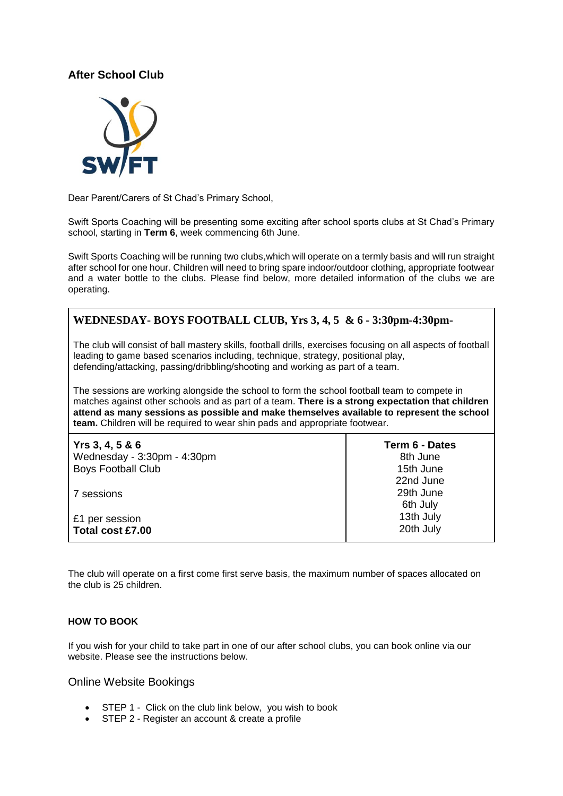### **After School Club**



Dear Parent/Carers of St Chad's Primary School,

Swift Sports Coaching will be presenting some exciting after school sports clubs at St Chad's Primary school, starting in **Term 6**, week commencing 6th June.

Swift Sports Coaching will be running two clubs,which will operate on a termly basis and will run straight after school for one hour. Children will need to bring spare indoor/outdoor clothing, appropriate footwear and a water bottle to the clubs. Please find below, more detailed information of the clubs we are operating.

## **WEDNESDAY- BOYS FOOTBALL CLUB, Yrs 3, 4, 5 & 6 - 3:30pm-4:30pm-**

The club will consist of ball mastery skills, football drills, exercises focusing on all aspects of football leading to game based scenarios including, technique, strategy, positional play, defending/attacking, passing/dribbling/shooting and working as part of a team.

The sessions are working alongside the school to form the school football team to compete in matches against other schools and as part of a team. **There is a strong expectation that children attend as many sessions as possible and make themselves available to represent the school team.** Children will be required to wear shin pads and appropriate footwear.

| Yrs 3, 4, 5 & 6             | Term 6 - Dates                     |
|-----------------------------|------------------------------------|
| Wednesday - 3:30pm - 4:30pm | 8th June                           |
| <b>Boys Football Club</b>   | 15th June                          |
| 7 sessions                  | 22nd June<br>29th June<br>6th July |
| £1 per session              | 13th July                          |
| Total cost £7.00            | 20th July                          |

The club will operate on a first come first serve basis, the maximum number of spaces allocated on the club is 25 children.

#### **HOW TO BOOK**

If you wish for your child to take part in one of our after school clubs, you can book online via our website. Please see the instructions below.

Online Website Bookings

- STEP 1 Click on the club link below, you wish to book
- STEP 2 Register an account & create a profile